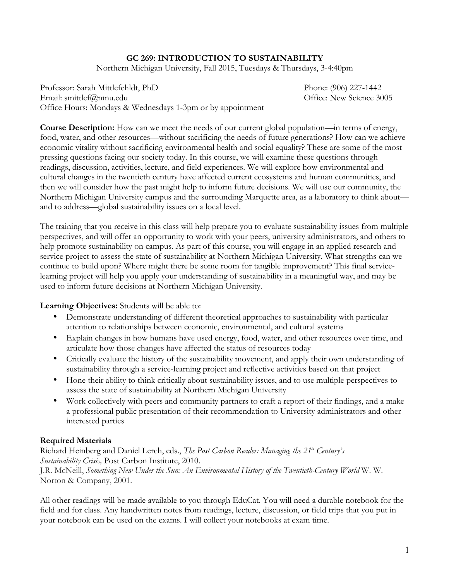# **GC 269: INTRODUCTION TO SUSTAINABILITY**

Northern Michigan University, Fall 2015, Tuesdays & Thursdays, 3-4:40pm

Professor: Sarah Mittlefehldt, PhD Phone: (906) 227-1442 Email: smittlef@nmu.edu entitlef@nmu.edu entitlef@nmu.edu entitlef@nmu.edu entitlef@nmu.edu Office Hours: Mondays & Wednesdays 1-3pm or by appointment

**Course Description:** How can we meet the needs of our current global population—in terms of energy, food, water, and other resources—without sacrificing the needs of future generations? How can we achieve economic vitality without sacrificing environmental health and social equality? These are some of the most pressing questions facing our society today. In this course, we will examine these questions through readings, discussion, activities, lecture, and field experiences. We will explore how environmental and cultural changes in the twentieth century have affected current ecosystems and human communities, and then we will consider how the past might help to inform future decisions. We will use our community, the Northern Michigan University campus and the surrounding Marquette area, as a laboratory to think about and to address—global sustainability issues on a local level.

The training that you receive in this class will help prepare you to evaluate sustainability issues from multiple perspectives, and will offer an opportunity to work with your peers, university administrators, and others to help promote sustainability on campus. As part of this course, you will engage in an applied research and service project to assess the state of sustainability at Northern Michigan University. What strengths can we continue to build upon? Where might there be some room for tangible improvement? This final servicelearning project will help you apply your understanding of sustainability in a meaningful way, and may be used to inform future decisions at Northern Michigan University.

**Learning Objectives:** Students will be able to:

- Demonstrate understanding of different theoretical approaches to sustainability with particular attention to relationships between economic, environmental, and cultural systems
- Explain changes in how humans have used energy, food, water, and other resources over time, and articulate how those changes have affected the status of resources today
- Critically evaluate the history of the sustainability movement, and apply their own understanding of sustainability through a service-learning project and reflective activities based on that project
- Hone their ability to think critically about sustainability issues, and to use multiple perspectives to assess the state of sustainability at Northern Michigan University
- Work collectively with peers and community partners to craft a report of their findings, and a make a professional public presentation of their recommendation to University administrators and other interested parties

### **Required Materials**

Richard Heinberg and Daniel Lerch, eds., *The Post Carbon Reader: Managing the 21st Century's Sustainability Crisis,* Post Carbon Institute, 2010. J.R. McNeill, *Something New Under the Sun: An Environmental History of the Twentieth-Century World* W. W. Norton & Company, 2001.

All other readings will be made available to you through EduCat. You will need a durable notebook for the field and for class. Any handwritten notes from readings, lecture, discussion, or field trips that you put in your notebook can be used on the exams. I will collect your notebooks at exam time.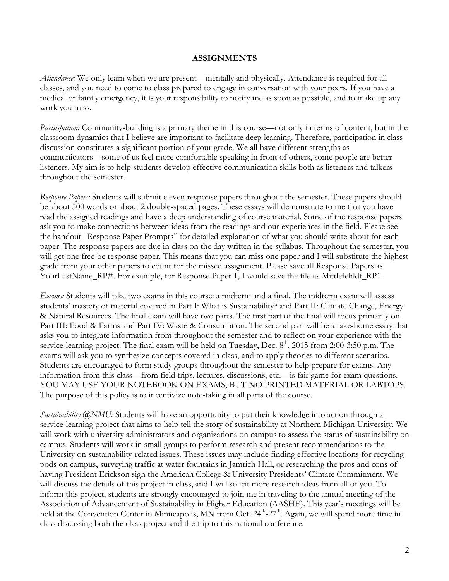#### **ASSIGNMENTS**

*Attendance:* We only learn when we are present—mentally and physically. Attendance is required for all classes, and you need to come to class prepared to engage in conversation with your peers. If you have a medical or family emergency, it is your responsibility to notify me as soon as possible, and to make up any work you miss.

*Participation:* Community-building is a primary theme in this course—not only in terms of content, but in the classroom dynamics that I believe are important to facilitate deep learning. Therefore, participation in class discussion constitutes a significant portion of your grade. We all have different strengths as communicators—some of us feel more comfortable speaking in front of others, some people are better listeners. My aim is to help students develop effective communication skills both as listeners and talkers throughout the semester.

*Response Papers:* Students will submit eleven response papers throughout the semester. These papers should be about 500 words or about 2 double-spaced pages. These essays will demonstrate to me that you have read the assigned readings and have a deep understanding of course material. Some of the response papers ask you to make connections between ideas from the readings and our experiences in the field. Please see the handout "Response Paper Prompts" for detailed explanation of what you should write about for each paper. The response papers are due in class on the day written in the syllabus. Throughout the semester, you will get one free-be response paper. This means that you can miss one paper and I will substitute the highest grade from your other papers to count for the missed assignment. Please save all Response Papers as YourLastName\_RP#. For example, for Response Paper 1, I would save the file as Mittlefehldt\_RP1.

*Exams:* Students will take two exams in this course: a midterm and a final. The midterm exam will assess students' mastery of material covered in Part I: What is Sustainability? and Part II: Climate Change, Energy & Natural Resources. The final exam will have two parts. The first part of the final will focus primarily on Part III: Food & Farms and Part IV: Waste & Consumption. The second part will be a take-home essay that asks you to integrate information from throughout the semester and to reflect on your experience with the service-learning project. The final exam will be held on Tuesday, Dec.  $8<sup>th</sup>$ , 2015 from 2:00-3:50 p.m. The exams will ask you to synthesize concepts covered in class, and to apply theories to different scenarios. Students are encouraged to form study groups throughout the semester to help prepare for exams. Any information from this class—from field trips, lectures, discussions, etc.—is fair game for exam questions. YOU MAY USE YOUR NOTEBOOK ON EXAMS, BUT NO PRINTED MATERIAL OR LABTOPS. The purpose of this policy is to incentivize note-taking in all parts of the course.

*Sustainability @NMU:* Students will have an opportunity to put their knowledge into action through a service-learning project that aims to help tell the story of sustainability at Northern Michigan University. We will work with university administrators and organizations on campus to assess the status of sustainability on campus. Students will work in small groups to perform research and present recommendations to the University on sustainability-related issues. These issues may include finding effective locations for recycling pods on campus, surveying traffic at water fountains in Jamrich Hall, or researching the pros and cons of having President Erickson sign the American College & University Presidents' Climate Commitment. We will discuss the details of this project in class, and I will solicit more research ideas from all of you. To inform this project, students are strongly encouraged to join me in traveling to the annual meeting of the Association of Advancement of Sustainability in Higher Education (AASHE). This year's meetings will be held at the Convention Center in Minneapolis, MN from Oct. 24<sup>th</sup>-27<sup>th</sup>. Again, we will spend more time in class discussing both the class project and the trip to this national conference.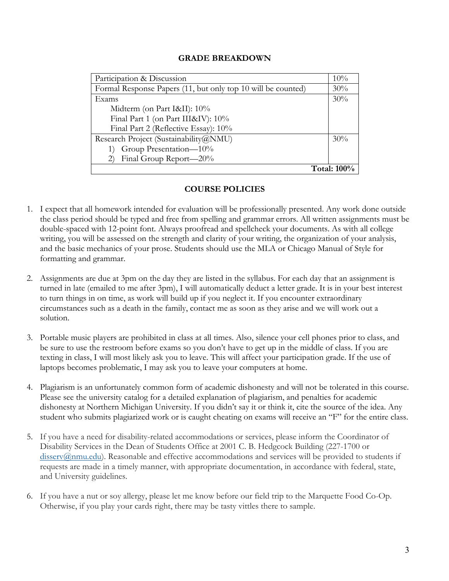### **GRADE BREAKDOWN**

| Participation & Discussion                                   | 10% |  |
|--------------------------------------------------------------|-----|--|
| Formal Response Papers (11, but only top 10 will be counted) | 30% |  |
| Exams                                                        | 30% |  |
| Midterm (on Part I&II): 10%                                  |     |  |
| Final Part 1 (on Part III&IV): 10%                           |     |  |
| Final Part 2 (Reflective Essay): 10%                         |     |  |
| Research Project (Sustainability@NMU)                        | 30% |  |
| Group Presentation-10%                                       |     |  |
| Final Group Report—20%                                       |     |  |
| <b>Total: 100%</b>                                           |     |  |

# **COURSE POLICIES**

- 1. I expect that all homework intended for evaluation will be professionally presented. Any work done outside the class period should be typed and free from spelling and grammar errors. All written assignments must be double-spaced with 12-point font. Always proofread and spellcheck your documents. As with all college writing, you will be assessed on the strength and clarity of your writing, the organization of your analysis, and the basic mechanics of your prose. Students should use the MLA or Chicago Manual of Style for formatting and grammar.
- 2. Assignments are due at 3pm on the day they are listed in the syllabus. For each day that an assignment is turned in late (emailed to me after 3pm), I will automatically deduct a letter grade. It is in your best interest to turn things in on time, as work will build up if you neglect it. If you encounter extraordinary circumstances such as a death in the family, contact me as soon as they arise and we will work out a solution.
- 3. Portable music players are prohibited in class at all times. Also, silence your cell phones prior to class, and be sure to use the restroom before exams so you don't have to get up in the middle of class. If you are texting in class, I will most likely ask you to leave. This will affect your participation grade. If the use of laptops becomes problematic, I may ask you to leave your computers at home.
- 4. Plagiarism is an unfortunately common form of academic dishonesty and will not be tolerated in this course. Please see the university catalog for a detailed explanation of plagiarism, and penalties for academic dishonesty at Northern Michigan University. If you didn't say it or think it, cite the source of the idea. Any student who submits plagiarized work or is caught cheating on exams will receive an "F" for the entire class.
- 5. If you have a need for disability-related accommodations or services, please inform the Coordinator of Disability Services in the Dean of Students Office at 2001 C. B. Hedgcock Building (227-1700 or disserv@nmu.edu). Reasonable and effective accommodations and services will be provided to students if requests are made in a timely manner, with appropriate documentation, in accordance with federal, state, and University guidelines.
- 6. If you have a nut or soy allergy, please let me know before our field trip to the Marquette Food Co-Op. Otherwise, if you play your cards right, there may be tasty vittles there to sample.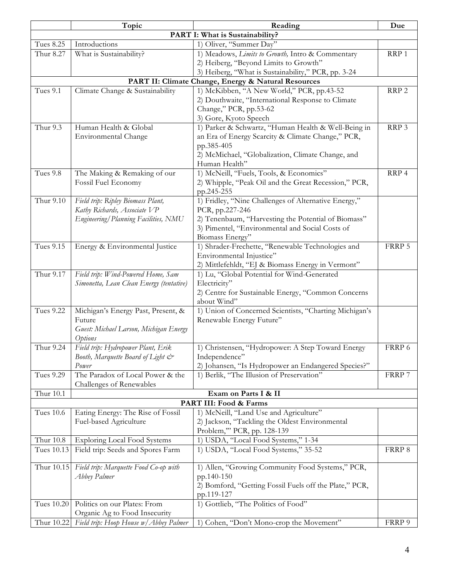|                                                     | Topic                                    | Reading                                                                       | Due              |  |  |
|-----------------------------------------------------|------------------------------------------|-------------------------------------------------------------------------------|------------------|--|--|
| PART I: What is Sustainability?                     |                                          |                                                                               |                  |  |  |
| <b>Tues 8.25</b>                                    | Introductions                            | 1) Oliver, "Summer Day"                                                       |                  |  |  |
| Thur 8.27                                           | What is Sustainability?                  | 1) Meadows, Limits to Growth, Intro & Commentary                              | RRP 1            |  |  |
|                                                     |                                          | 2) Heiberg, "Beyond Limits to Growth"                                         |                  |  |  |
|                                                     |                                          | 3) Heiberg, "What is Sustainability," PCR, pp. 3-24                           |                  |  |  |
| PART II: Climate Change, Energy & Natural Resources |                                          |                                                                               |                  |  |  |
| Tues 9.1                                            | Climate Change & Sustainability          | 1) McKibben, "A New World," PCR, pp.43-52                                     | RRP <sub>2</sub> |  |  |
|                                                     |                                          | 2) Douthwaite, "International Response to Climate                             |                  |  |  |
|                                                     |                                          | Change," PCR, pp.53-62                                                        |                  |  |  |
|                                                     |                                          | 3) Gore, Kyoto Speech                                                         |                  |  |  |
| Thur 9.3                                            | Human Health & Global                    | 1) Parker & Schwartz, "Human Health & Well-Being in                           | RRP 3            |  |  |
|                                                     | Environmental Change                     | an Era of Energy Scarcity & Climate Change," PCR,                             |                  |  |  |
|                                                     |                                          | pp.385-405                                                                    |                  |  |  |
|                                                     |                                          | 2) McMichael, "Globalization, Climate Change, and                             |                  |  |  |
|                                                     |                                          | Human Health"                                                                 |                  |  |  |
| <b>Tues 9.8</b>                                     | The Making & Remaking of our             | 1) McNeill, "Fuels, Tools, & Economics"                                       | RRP 4            |  |  |
|                                                     | Fossil Fuel Economy                      | 2) Whipple, "Peak Oil and the Great Recession," PCR,                          |                  |  |  |
|                                                     |                                          | pp.245-255                                                                    |                  |  |  |
| Thur 9.10                                           | Field trip: Ripley Biomass Plant,        | 1) Fridley, "Nine Challenges of Alternative Energy,"                          |                  |  |  |
|                                                     | Kathy Richards, Associate VP             | PCR, pp.227-246                                                               |                  |  |  |
|                                                     | Engineering/Planning Facilities, NMU     | 2) Tenenbaum, "Harvesting the Potential of Biomass"                           |                  |  |  |
|                                                     |                                          | 3) Pimentel, "Environmental and Social Costs of                               |                  |  |  |
|                                                     |                                          | Biomass Energy"                                                               | FRRP 5           |  |  |
| <b>Tues 9.15</b>                                    | Energy & Environmental Justice           | 1) Shrader-Frechette, "Renewable Technologies and                             |                  |  |  |
|                                                     |                                          | Environmental Injustice"<br>2) Mittlefehldt, "EJ & Biomass Energy in Vermont" |                  |  |  |
| Thur 9.17                                           | Field trip: Wind-Powered Home, Sam       | 1) Lu, "Global Potential for Wind-Generated                                   |                  |  |  |
|                                                     | Simonetta, Lean Clean Energy (tentative) | Electricity"                                                                  |                  |  |  |
|                                                     |                                          | 2) Centre for Sustainable Energy, "Common Concerns                            |                  |  |  |
|                                                     |                                          | about Wind"                                                                   |                  |  |  |
| <b>Tues 9.22</b>                                    | Michigan's Energy Past, Present, &       | 1) Union of Concerned Scientists, "Charting Michigan's                        |                  |  |  |
|                                                     | Future                                   | Renewable Energy Future"                                                      |                  |  |  |
|                                                     | Guest: Michael Larson, Michigan Energy   |                                                                               |                  |  |  |
|                                                     | Options                                  |                                                                               |                  |  |  |
| Thur 9.24                                           | Field trip: Hydropower Plant, Erik       | 1) Christensen, "Hydropower: A Step Toward Energy                             | FRRP 6           |  |  |
|                                                     | Booth, Marquette Board of Light &        | Independence"                                                                 |                  |  |  |
|                                                     | Power                                    | 2) Johansen, "Is Hydropower an Endangered Species?"                           |                  |  |  |
| <b>Tues 9.29</b>                                    | The Paradox of Local Power & the         | 1) Berlik, "The Illusion of Preservation"                                     | FRRP 7           |  |  |
|                                                     | Challenges of Renewables                 |                                                                               |                  |  |  |
| Thur 10.1                                           |                                          | Exam on Parts I & II                                                          |                  |  |  |
|                                                     |                                          | PART III: Food & Farms                                                        |                  |  |  |
| <b>Tues 10.6</b>                                    | Eating Energy: The Rise of Fossil        | 1) McNeill, "Land Use and Agriculture"                                        |                  |  |  |
|                                                     | Fuel-based Agriculture                   | 2) Jackson, "Tackling the Oldest Environmental                                |                  |  |  |
|                                                     |                                          | Problem,"' PCR, pp. 128-139                                                   |                  |  |  |
| Thur 10.8                                           | <b>Exploring Local Food Systems</b>      | 1) USDA, "Local Food Systems," 1-34                                           |                  |  |  |
| Tues 10.13                                          | Field trip: Seeds and Spores Farm        | 1) USDA, "Local Food Systems," 35-52                                          | FRRP 8           |  |  |
| Thur 10.15                                          | Field trip: Marquette Food Co-op with    | 1) Allen, "Growing Community Food Systems," PCR,                              |                  |  |  |
|                                                     | Abbey Palmer                             | pp.140-150                                                                    |                  |  |  |
|                                                     |                                          | 2) Bomford, "Getting Fossil Fuels off the Plate," PCR,                        |                  |  |  |
|                                                     |                                          | pp.119-127                                                                    |                  |  |  |
| Tues 10.20                                          | Politics on our Plates: From             | 1) Gottlieb, "The Politics of Food"                                           |                  |  |  |
|                                                     | Organic Ag to Food Insecurity            |                                                                               |                  |  |  |
| Thur 10.22                                          | Field trip: Hoop House w/ Abbey Palmer   | 1) Cohen, "Don't Mono-crop the Movement"                                      | FRRP 9           |  |  |